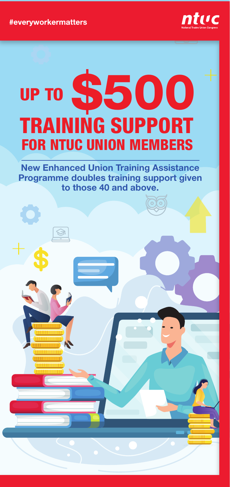#everyworkermatters



## TRAINING SUPPORT UP TO \$500 FOR NTUC UNION MEMBERS

New Enhanced Union Training Assistance Programme doubles training support given to those 40 and above.

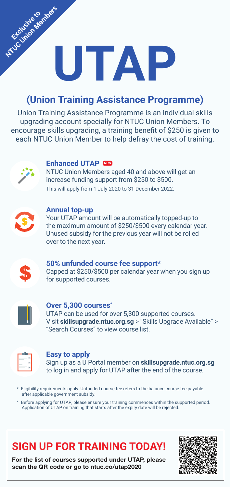# **UTAP Exclusive to derivers**

### **(Union Training Assistance Programme)**

Union Training Assistance Programme is an individual skills upgrading account specially for NTUC Union Members. To encourage skills upgrading, a training benefit of \$250 is given to each NTUC Union Member to help defray the cost of training.



#### **Enhanced UTAP NEW**

NTUC Union Members aged 40 and above will get an increase funding support from \$250 to \$500. This will apply from 1 July 2020 to 31 December 2022.



#### **Annual top-up**

Your UTAP amount will be automatically topped-up to the maximum amount of \$250/\$500 every calendar year. Unused subsidy for the previous year will not be rolled over to the next year.



#### **50% unfunded course fee support\*** Capped at \$250/\$500 per calendar year when you sign up for supported courses.



#### **Over 5,300 courses^**

UTAP can be used for over 5,300 supported courses. Visit **skillsupgrade.ntuc.org.sg** > "Skills Upgrade Available" > "Search Courses" to view course list.

#### **Easy to apply**

Sign up as a U Portal member on **skillsupgrade.ntuc.org.sg** to log in and apply for UTAP after the end of the course.

- \* Eligibility requirements apply. Unfunded course fee refers to the balance course fee payable after applicable government subsidy.
- ^ Before applying for UTAP, please ensure your training commences within the supported period. Application of UTAP on training that starts after the expiry date will be rejected.

## **SIGN UP FOR TRAINING TODAY!**

For the list of courses supported under UTAP, please scan the QR code or go to ntuc.co/utap2020

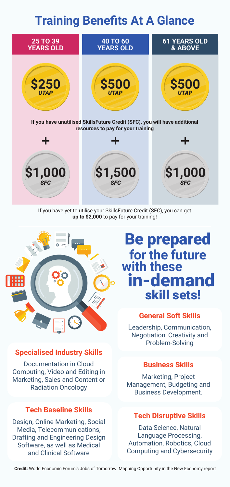## **Training Benefits At A Glance**



If you have yet to utilise your SkillsFuture Credit (SFC), you can get **up to \$2,000** to pay for your training!



#### **Specialised Industry Skills**

Documentation in Cloud Computing, Video and Editing in Marketing, Sales and Content or Radiation Oncology

#### **Tech Baseline Skills**

Design, Online Marketing, Social Media, Telecommunications, Drafting and Engineering Design Software, as well as Medical and Clinical Software

## Be prepared **for the future** in-demand skill sets! **with these**

#### **General Soft Skills**

Leadership, Communication, Negotiation, Creativity and Problem-Solving

#### **Business Skills**

Marketing, Project Management, Budgeting and Business Development.

#### **Tech Disruptive Skills**

Data Science, Natural Language Processing, Automation, Robotics, Cloud Computing and Cybersecurity

**Credit:** World Economic Forum's Jobs of Tomorrow: Mapping Opportunity in the New Economy report